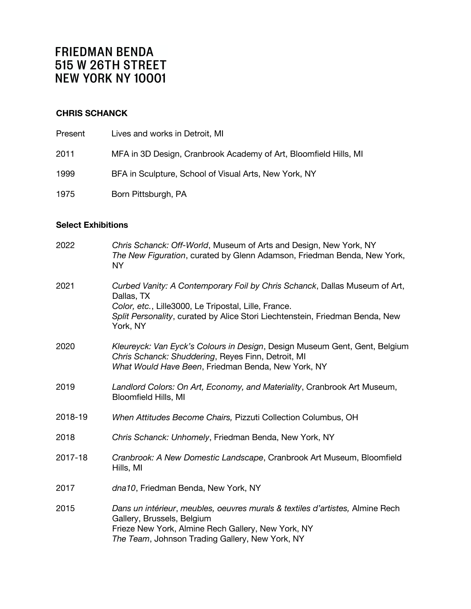# **CHRIS SCHANCK**

| Present | Lives and works in Detroit, MI                                   |
|---------|------------------------------------------------------------------|
| 2011    | MFA in 3D Design, Cranbrook Academy of Art, Bloomfield Hills, MI |
| 1999    | BFA in Sculpture, School of Visual Arts, New York, NY            |
| 1975    | Born Pittsburgh, PA                                              |

# **Select Exhibitions**

| 2022    | Chris Schanck: Off-World, Museum of Arts and Design, New York, NY<br>The New Figuration, curated by Glenn Adamson, Friedman Benda, New York,<br><b>NY</b>                                                                                    |
|---------|----------------------------------------------------------------------------------------------------------------------------------------------------------------------------------------------------------------------------------------------|
| 2021    | Curbed Vanity: A Contemporary Foil by Chris Schanck, Dallas Museum of Art,<br>Dallas, TX<br>Color, etc., Lille3000, Le Tripostal, Lille, France.<br>Split Personality, curated by Alice Stori Liechtenstein, Friedman Benda, New<br>York, NY |
| 2020    | Kleureyck: Van Eyck's Colours in Design, Design Museum Gent, Gent, Belgium<br>Chris Schanck: Shuddering, Reyes Finn, Detroit, MI<br>What Would Have Been, Friedman Benda, New York, NY                                                       |
| 2019    | Landlord Colors: On Art, Economy, and Materiality, Cranbrook Art Museum,<br>Bloomfield Hills, MI                                                                                                                                             |
| 2018-19 | When Attitudes Become Chairs, Pizzuti Collection Columbus, OH                                                                                                                                                                                |
| 2018    | Chris Schanck: Unhomely, Friedman Benda, New York, NY                                                                                                                                                                                        |
| 2017-18 | Cranbrook: A New Domestic Landscape, Cranbrook Art Museum, Bloomfield<br>Hills, MI                                                                                                                                                           |
| 2017    | dna10, Friedman Benda, New York, NY                                                                                                                                                                                                          |
| 2015    | Dans un intérieur, meubles, oeuvres murals & textiles d'artistes, Almine Rech<br>Gallery, Brussels, Belgium<br>Frieze New York, Almine Rech Gallery, New York, NY<br>The Team, Johnson Trading Gallery, New York, NY                         |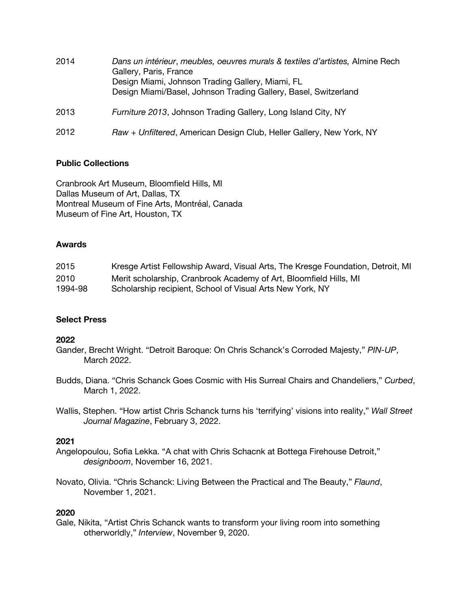| 2014 | Dans un intérieur, meubles, oeuvres murals & textiles d'artistes, Almine Rech<br>Gallery, Paris, France<br>Design Miami, Johnson Trading Gallery, Miami, FL<br>Design Miami/Basel, Johnson Trading Gallery, Basel, Switzerland |
|------|--------------------------------------------------------------------------------------------------------------------------------------------------------------------------------------------------------------------------------|
| 2013 | Furniture 2013, Johnson Trading Gallery, Long Island City, NY                                                                                                                                                                  |
| 2012 | Raw + Unfiltered, American Design Club, Heller Gallery, New York, NY                                                                                                                                                           |

# **Public Collections**

Cranbrook Art Museum, Bloomfield Hills, MI Dallas Museum of Art, Dallas, TX Montreal Museum of Fine Arts, Montréal, Canada Museum of Fine Art, Houston, TX

### **Awards**

| 2015    | Kresge Artist Fellowship Award, Visual Arts, The Kresge Foundation, Detroit, MI |
|---------|---------------------------------------------------------------------------------|
| 2010    | Merit scholarship, Cranbrook Academy of Art, Bloomfield Hills, MI               |
| 1994-98 | Scholarship recipient, School of Visual Arts New York, NY                       |

# **Select Press**

# **2022**

- Gander, Brecht Wright. "Detroit Baroque: On Chris Schanck's Corroded Majesty," *PIN-UP*, March 2022.
- Budds, Diana. "Chris Schanck Goes Cosmic with His Surreal Chairs and Chandeliers," *Curbed*, March 1, 2022.
- Wallis, Stephen. "How artist Chris Schanck turns his 'terrifying' visions into reality," *Wall Street Journal Magazine*, February 3, 2022.

# **2021**

- Angelopoulou, Sofia Lekka. "A chat with Chris Schacnk at Bottega Firehouse Detroit," *designboom*, November 16, 2021.
- Novato, Olivia. "Chris Schanck: Living Between the Practical and The Beauty," *Flaund*, November 1, 2021.

# **2020**

Gale, Nikita, "Artist Chris Schanck wants to transform your living room into something otherworldly," *Interview*, November 9, 2020.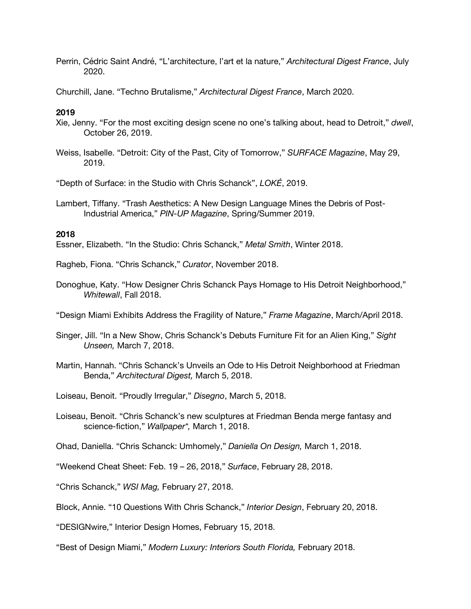Perrin, Cédric Saint André, "L'architecture, l'art et la nature," *Architectural Digest France*, July 2020.

Churchill, Jane. "Techno Brutalisme," *Architectural Digest France*, March 2020.

### **2019**

- Xie, Jenny. "For the most exciting design scene no one's talking about, head to Detroit," *dwell*, October 26, 2019.
- Weiss, Isabelle. "Detroit: City of the Past, City of Tomorrow," *SURFACE Magazine*, May 29, 2019.

"Depth of Surface: in the Studio with Chris Schanck", *LOKÉ*, 2019.

Lambert, Tiffany. "Trash Aesthetics: A New Design Language Mines the Debris of Post-Industrial America," *PIN-UP Magazine*, Spring/Summer 2019.

#### **2018**

Essner, Elizabeth. "In the Studio: Chris Schanck," *Metal Smith*, Winter 2018.

Ragheb, Fiona. "Chris Schanck," *Curator*, November 2018.

Donoghue, Katy. "How Designer Chris Schanck Pays Homage to His Detroit Neighborhood," *Whitewall*, Fall 2018.

"Design Miami Exhibits Address the Fragility of Nature," *Frame Magazine*, March/April 2018.

Singer, Jill. "In a New Show, Chris Schanck's Debuts Furniture Fit for an Alien King," *Sight Unseen,* March 7, 2018.

- Martin, Hannah. "Chris Schanck's Unveils an Ode to His Detroit Neighborhood at Friedman Benda," *Architectural Digest,* March 5, 2018.
- Loiseau, Benoit. "Proudly Irregular," *Disegno*, March 5, 2018.
- Loiseau, Benoit. "Chris Schanck's new sculptures at Friedman Benda merge fantasy and science-fiction," *Wallpaper\*,* March 1, 2018.

Ohad, Daniella. "Chris Schanck: Umhomely," *Daniella On Design,* March 1, 2018.

"Weekend Cheat Sheet: Feb. 19 – 26, 2018," *Surface*, February 28, 2018.

"Chris Schanck," *WSI Mag,* February 27, 2018.

Block, Annie. "10 Questions With Chris Schanck," *Interior Design*, February 20, 2018.

"DESIGNwire," Interior Design Homes, February 15, 2018.

"Best of Design Miami," *Modern Luxury: Interiors South Florida,* February 2018.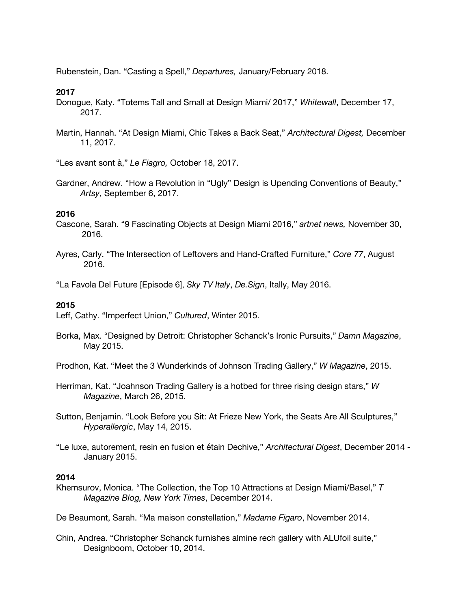Rubenstein, Dan. "Casting a Spell," *Departures,* January/February 2018.

### **2017**

- Donogue, Katy. "Totems Tall and Small at Design Miami/ 2017," *Whitewall*, December 17, 2017.
- Martin, Hannah. "At Design Miami, Chic Takes a Back Seat," *Architectural Digest,* December 11, 2017.

"Les avant sont à," *Le Fiagro,* October 18, 2017.

Gardner, Andrew. "How a Revolution in "Ugly" Design is Upending Conventions of Beauty," *Artsy,* September 6, 2017.

### **2016**

- Cascone, Sarah. "9 Fascinating Objects at Design Miami 2016," *artnet news,* November 30, 2016.
- Ayres, Carly. "The Intersection of Leftovers and Hand-Crafted Furniture," *Core 77*, August 2016.

"La Favola Del Future [Episode 6], *Sky TV Italy*, *De.Sign*, Itally, May 2016.

# **2015**

Leff, Cathy. "Imperfect Union," *Cultured*, Winter 2015.

Borka, Max. "Designed by Detroit: Christopher Schanck's Ironic Pursuits," *Damn Magazine*, May 2015.

Prodhon, Kat. "Meet the 3 Wunderkinds of Johnson Trading Gallery," *W Magazine*, 2015.

- Herriman, Kat. "Joahnson Trading Gallery is a hotbed for three rising design stars," *W Magazine*, March 26, 2015.
- Sutton, Benjamin. "Look Before you Sit: At Frieze New York, the Seats Are All Sculptures," *Hyperallergic*, May 14, 2015.
- "Le luxe, autorement, resin en fusion et étain Dechive," *Architectural Digest*, December 2014 January 2015.

#### **2014**

Khemsurov, Monica. "The Collection, the Top 10 Attractions at Design Miami/Basel," *T Magazine Blog, New York Times*, December 2014.

De Beaumont, Sarah. "Ma maison constellation," *Madame Figaro*, November 2014.

Chin, Andrea. "Christopher Schanck furnishes almine rech gallery with ALUfoil suite," Designboom, October 10, 2014.